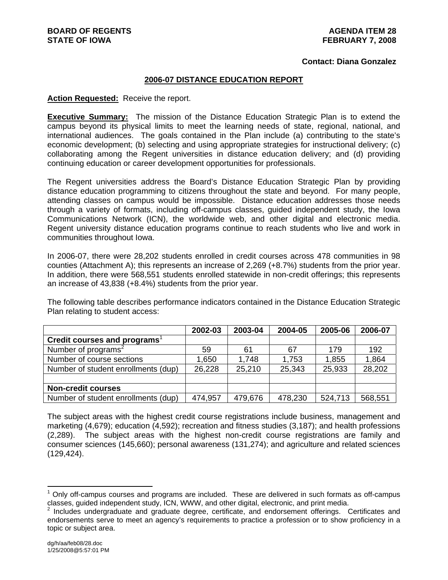#### **Contact: Diana Gonzalez**

### **2006-07 DISTANCE EDUCATION REPORT**

### **Action Requested:** Receive the report.

**Executive Summary:** The mission of the Distance Education Strategic Plan is to extend the campus beyond its physical limits to meet the learning needs of state, regional, national, and international audiences. The goals contained in the Plan include (a) contributing to the state's economic development; (b) selecting and using appropriate strategies for instructional delivery; (c) collaborating among the Regent universities in distance education delivery; and (d) providing continuing education or career development opportunities for professionals.

The Regent universities address the Board's Distance Education Strategic Plan by providing distance education programming to citizens throughout the state and beyond. For many people, attending classes on campus would be impossible. Distance education addresses those needs through a variety of formats, including off-campus classes, guided independent study, the Iowa Communications Network (ICN), the worldwide web, and other digital and electronic media. Regent university distance education programs continue to reach students who live and work in communities throughout Iowa.

In 2006-07, there were 28,202 students enrolled in credit courses across 478 communities in 98 counties (Attachment A); this represents an increase of 2,269 (+8.7%) students from the prior year. In addition, there were 568,551 students enrolled statewide in non-credit offerings; this represents an increase of 43,838 (+8.4%) students from the prior year.

The following table describes performance indicators contained in the Distance Education Strategic Plan relating to student access:

|                                          | 2002-03 | 2003-04 | 2004-05 | 2005-06 | 2006-07 |
|------------------------------------------|---------|---------|---------|---------|---------|
| Credit courses and programs <sup>1</sup> |         |         |         |         |         |
| Number of programs <sup>2</sup>          | 59      | 61      | 67      | 179     | 192     |
| Number of course sections                | 1,650   | 1,748   | 1,753   | 1,855   | 1,864   |
| Number of student enrollments (dup)      | 26,228  | 25,210  | 25,343  | 25,933  | 28,202  |
|                                          |         |         |         |         |         |
| <b>Non-credit courses</b>                |         |         |         |         |         |
| Number of student enrollments (dup)      | 474,957 | 479,676 | 478,230 | 524,713 | 568,551 |

The subject areas with the highest credit course registrations include business, management and marketing (4,679); education (4,592); recreation and fitness studies (3,187); and health professions (2,289). The subject areas with the highest non-credit course registrations are family and consumer sciences (145,660); personal awareness (131,274); and agriculture and related sciences (129,424).

l

 $1$  Only off-campus courses and programs are included. These are delivered in such formats as off-campus classes, guided independent study, ICN, WWW, and other digital, electronic, and print media. 2

Includes undergraduate and graduate degree, certificate, and endorsement offerings. Certificates and endorsements serve to meet an agency's requirements to practice a profession or to show proficiency in a topic or subject area.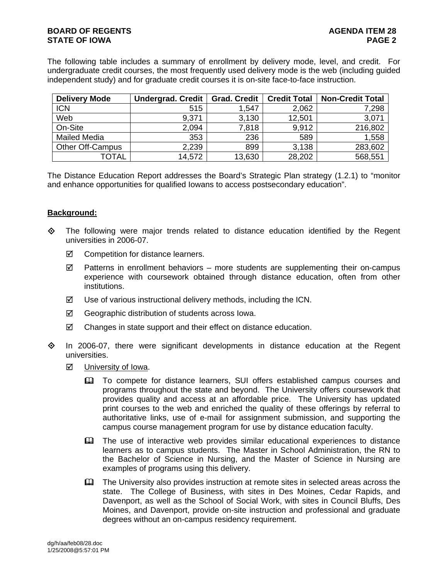# **BOARD OF REGENTS AGENUS AGENDA ITEM 28 STATE OF IOWA** PAGE 2

The following table includes a summary of enrollment by delivery mode, level, and credit. For undergraduate credit courses, the most frequently used delivery mode is the web (including guided independent study) and for graduate credit courses it is on-site face-to-face instruction.

| <b>Delivery Mode</b>    | Undergrad. Credit | <b>Grad. Credit</b> | <b>Credit Total</b> | <b>Non-Credit Total</b> |
|-------------------------|-------------------|---------------------|---------------------|-------------------------|
| <b>ICN</b>              | 515               | 1,547               | 2,062               | 7,298                   |
| Web                     | 9,371             | 3,130               | 12,501              | 3,071                   |
| On-Site                 | 2,094             | 7,818               | 9,912               | 216,802                 |
| <b>Mailed Media</b>     | 353               | 236                 | 589                 | 1,558                   |
| <b>Other Off-Campus</b> | 2,239             | 899                 | 3,138               | 283,602                 |
| <b>TOTAL</b>            | 14,572            | 13,630              | 28,202              | 568,551                 |

The Distance Education Report addresses the Board's Strategic Plan strategy (1.2.1) to "monitor and enhance opportunities for qualified Iowans to access postsecondary education".

## **Background:**

- $\Leftrightarrow$  The following were major trends related to distance education identified by the Regent universities in 2006-07.
	- $\boxtimes$  Competition for distance learners.
	- $\boxtimes$  Patterns in enrollment behaviors more students are supplementing their on-campus experience with coursework obtained through distance education, often from other institutions.
	- $\boxtimes$  Use of various instructional delivery methods, including the ICN.
	- $\boxtimes$  Geographic distribution of students across lowa.
	- $\boxtimes$  Changes in state support and their effect on distance education.
- $\Diamond$  In 2006-07, there were significant developments in distance education at the Regent universities.
	- **Ø** University of Iowa.
		- To compete for distance learners, SUI offers established campus courses and programs throughout the state and beyond. The University offers coursework that provides quality and access at an affordable price. The University has updated print courses to the web and enriched the quality of these offerings by referral to authoritative links, use of e-mail for assignment submission, and supporting the campus course management program for use by distance education faculty.
		- The use of interactive web provides similar educational experiences to distance learners as to campus students. The Master in School Administration, the RN to the Bachelor of Science in Nursing, and the Master of Science in Nursing are examples of programs using this delivery.
		- **Example 1** The University also provides instruction at remote sites in selected areas across the state. The College of Business, with sites in Des Moines, Cedar Rapids, and Davenport, as well as the School of Social Work, with sites in Council Bluffs, Des Moines, and Davenport, provide on-site instruction and professional and graduate degrees without an on-campus residency requirement.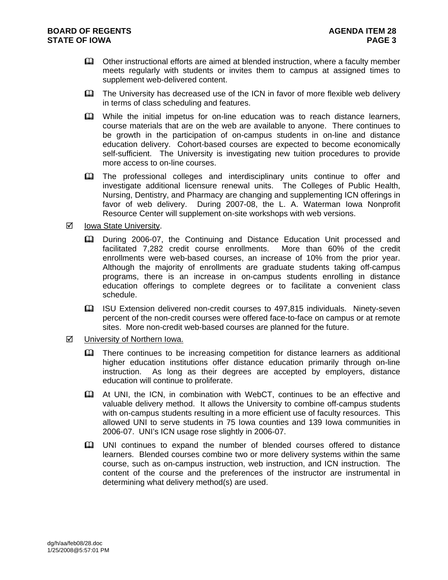- Other instructional efforts are aimed at blended instruction, where a faculty member meets regularly with students or invites them to campus at assigned times to supplement web-delivered content.
- The University has decreased use of the ICN in favor of more flexible web delivery in terms of class scheduling and features.
- While the initial impetus for on-line education was to reach distance learners, course materials that are on the web are available to anyone. There continues to be growth in the participation of on-campus students in on-line and distance education delivery. Cohort-based courses are expected to become economically self-sufficient. The University is investigating new tuition procedures to provide more access to on-line courses.
- **EQ The professional colleges and interdisciplinary units continue to offer and** investigate additional licensure renewal units. The Colleges of Public Health, Nursing, Dentistry, and Pharmacy are changing and supplementing ICN offerings in favor of web delivery. During 2007-08, the L. A. Waterman Iowa Nonprofit Resource Center will supplement on-site workshops with web versions.
- $\boxtimes$  Iowa State University.
	- During 2006-07, the Continuing and Distance Education Unit processed and facilitated 7,282 credit course enrollments. More than 60% of the credit enrollments were web-based courses, an increase of 10% from the prior year. Although the majority of enrollments are graduate students taking off-campus programs, there is an increase in on-campus students enrolling in distance education offerings to complete degrees or to facilitate a convenient class schedule.
	- ISU Extension delivered non-credit courses to 497,815 individuals. Ninety-seven percent of the non-credit courses were offered face-to-face on campus or at remote sites. More non-credit web-based courses are planned for the future.
- $\boxtimes$  University of Northern Iowa.
	- **Example 2** There continues to be increasing competition for distance learners as additional higher education institutions offer distance education primarily through on-line instruction. As long as their degrees are accepted by employers, distance education will continue to proliferate.
	- At UNI, the ICN, in combination with WebCT, continues to be an effective and valuable delivery method. It allows the University to combine off-campus students with on-campus students resulting in a more efficient use of faculty resources. This allowed UNI to serve students in 75 Iowa counties and 139 Iowa communities in 2006-07. UNI's ICN usage rose slightly in 2006-07.
	- UNI continues to expand the number of blended courses offered to distance learners. Blended courses combine two or more delivery systems within the same course, such as on-campus instruction, web instruction, and ICN instruction. The content of the course and the preferences of the instructor are instrumental in determining what delivery method(s) are used.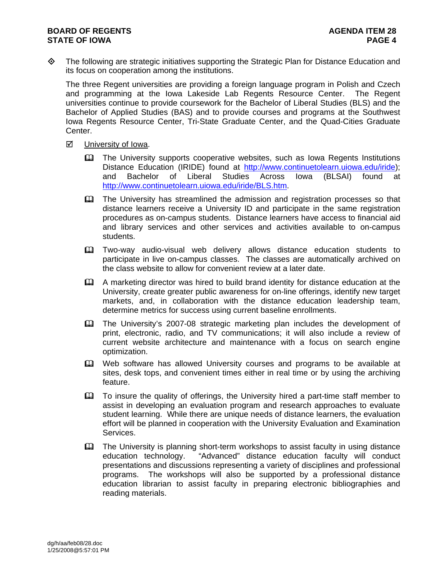The following are strategic initiatives supporting the Strategic Plan for Distance Education and its focus on cooperation among the institutions.

The three Regent universities are providing a foreign language program in Polish and Czech and programming at the Iowa Lakeside Lab Regents Resource Center. The Regent universities continue to provide coursework for the Bachelor of Liberal Studies (BLS) and the Bachelor of Applied Studies (BAS) and to provide courses and programs at the Southwest Iowa Regents Resource Center, Tri-State Graduate Center, and the Quad-Cities Graduate Center.

- $\boxtimes$  University of Iowa.
	- The University supports cooperative websites, such as Iowa Regents Institutions Distance Education (IRIDE) found at http://www.continuetolearn.uiowa.edu/iride); and Bachelor of Liberal Studies Across Iowa (BLSAI) found at http://www.continuetolearn.uiowa.edu/iride/BLS.htm.
	- The University has streamlined the admission and registration processes so that distance learners receive a University ID and participate in the same registration procedures as on-campus students. Distance learners have access to financial aid and library services and other services and activities available to on-campus students.
	- Two-way audio-visual web delivery allows distance education students to participate in live on-campus classes. The classes are automatically archived on the class website to allow for convenient review at a later date.
	- A marketing director was hired to build brand identity for distance education at the University, create greater public awareness for on-line offerings, identify new target markets, and, in collaboration with the distance education leadership team, determine metrics for success using current baseline enrollments.
	- The University's 2007-08 strategic marketing plan includes the development of print, electronic, radio, and TV communications; it will also include a review of current website architecture and maintenance with a focus on search engine optimization.
	- Web software has allowed University courses and programs to be available at sites, desk tops, and convenient times either in real time or by using the archiving feature.
	- To insure the quality of offerings, the University hired a part-time staff member to assist in developing an evaluation program and research approaches to evaluate student learning. While there are unique needs of distance learners, the evaluation effort will be planned in cooperation with the University Evaluation and Examination Services.
	- The University is planning short-term workshops to assist faculty in using distance education technology. "Advanced" distance education faculty will conduct presentations and discussions representing a variety of disciplines and professional programs. The workshops will also be supported by a professional distance education librarian to assist faculty in preparing electronic bibliographies and reading materials.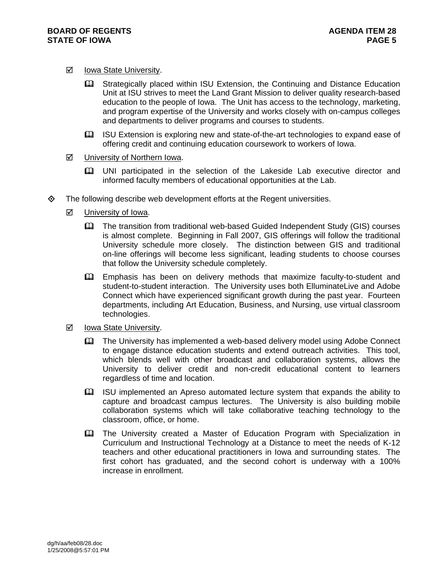# $\boxtimes$  Iowa State University.

- Strategically placed within ISU Extension, the Continuing and Distance Education Unit at ISU strives to meet the Land Grant Mission to deliver quality research-based education to the people of Iowa. The Unit has access to the technology, marketing, and program expertise of the University and works closely with on-campus colleges and departments to deliver programs and courses to students.
- ISU Extension is exploring new and state-of-the-art technologies to expand ease of offering credit and continuing education coursework to workers of Iowa.

## $\boxtimes$  University of Northern Iowa.

- UNI participated in the selection of the Lakeside Lab executive director and informed faculty members of educational opportunities at the Lab.
- The following describe web development efforts at the Regent universities.
	- $\boxtimes$  University of Iowa.
		- The transition from traditional web-based Guided Independent Study (GIS) courses is almost complete. Beginning in Fall 2007, GIS offerings will follow the traditional University schedule more closely. The distinction between GIS and traditional on-line offerings will become less significant, leading students to choose courses that follow the University schedule completely.
		- Emphasis has been on delivery methods that maximize faculty-to-student and student-to-student interaction. The University uses both ElluminateLive and Adobe Connect which have experienced significant growth during the past year. Fourteen departments, including Art Education, Business, and Nursing, use virtual classroom technologies.
	- **Ø** Iowa State University.
		- The University has implemented a web-based delivery model using Adobe Connect to engage distance education students and extend outreach activities. This tool, which blends well with other broadcast and collaboration systems, allows the University to deliver credit and non-credit educational content to learners regardless of time and location.
		- ISU implemented an Apreso automated lecture system that expands the ability to capture and broadcast campus lectures. The University is also building mobile collaboration systems which will take collaborative teaching technology to the classroom, office, or home.
		- **EQ The University created a Master of Education Program with Specialization in** Curriculum and Instructional Technology at a Distance to meet the needs of K-12 teachers and other educational practitioners in Iowa and surrounding states. The first cohort has graduated, and the second cohort is underway with a 100% increase in enrollment.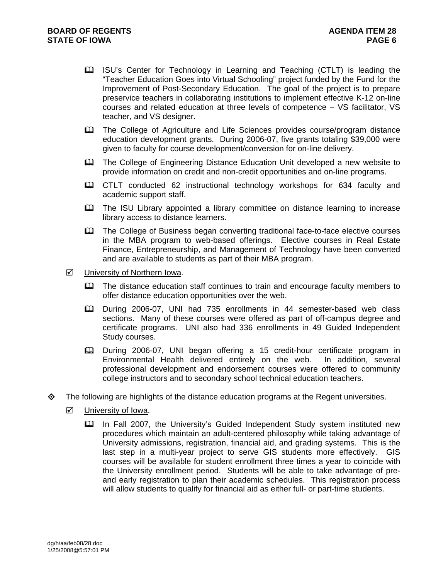- ISU's Center for Technology in Learning and Teaching (CTLT) is leading the "Teacher Education Goes into Virtual Schooling" project funded by the Fund for the Improvement of Post-Secondary Education. The goal of the project is to prepare preservice teachers in collaborating institutions to implement effective K-12 on-line courses and related education at three levels of competence – VS facilitator, VS teacher, and VS designer.
- The College of Agriculture and Life Sciences provides course/program distance education development grants. During 2006-07, five grants totaling \$39,000 were given to faculty for course development/conversion for on-line delivery.
- **Example 2** The College of Engineering Distance Education Unit developed a new website to provide information on credit and non-credit opportunities and on-line programs.
- CTLT conducted 62 instructional technology workshops for 634 faculty and academic support staff.
- The ISU Library appointed a library committee on distance learning to increase library access to distance learners.
- The College of Business began converting traditional face-to-face elective courses in the MBA program to web-based offerings. Elective courses in Real Estate Finance, Entrepreneurship, and Management of Technology have been converted and are available to students as part of their MBA program.
- **Ø** University of Northern Iowa.
	- **Example 1** The distance education staff continues to train and encourage faculty members to offer distance education opportunities over the web.
	- During 2006-07, UNI had 735 enrollments in 44 semester-based web class sections. Many of these courses were offered as part of off-campus degree and certificate programs. UNI also had 336 enrollments in 49 Guided Independent Study courses.
	- During 2006-07, UNI began offering a 15 credit-hour certificate program in Environmental Health delivered entirely on the web. In addition, several professional development and endorsement courses were offered to community college instructors and to secondary school technical education teachers.
- $\Leftrightarrow$  The following are highlights of the distance education programs at the Regent universities.
	- $\boxtimes$  University of Iowa.
		- In Fall 2007, the University's Guided Independent Study system instituted new procedures which maintain an adult-centered philosophy while taking advantage of University admissions, registration, financial aid, and grading systems. This is the last step in a multi-year project to serve GIS students more effectively. GIS courses will be available for student enrollment three times a year to coincide with the University enrollment period. Students will be able to take advantage of preand early registration to plan their academic schedules. This registration process will allow students to qualify for financial aid as either full- or part-time students.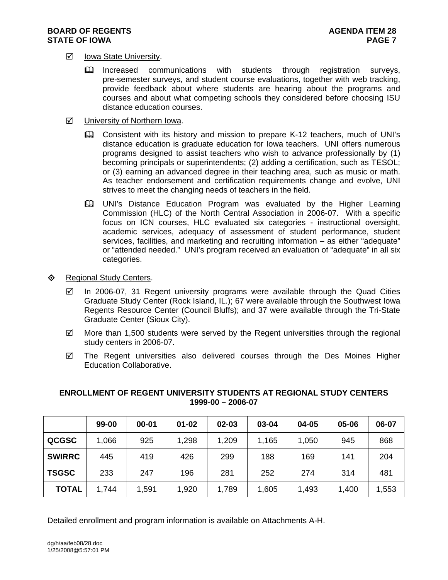## **BOARD OF REGENTS AGENUS AGENDA ITEM 28 STATE OF IOWA** PAGE 7

# $\boxtimes$  Iowa State University.

- Increased communications with students through registration surveys, pre-semester surveys, and student course evaluations, together with web tracking, provide feedback about where students are hearing about the programs and courses and about what competing schools they considered before choosing ISU distance education courses.
- **Ø** University of Northern Iowa.
	- Consistent with its history and mission to prepare K-12 teachers, much of UNI's distance education is graduate education for Iowa teachers. UNI offers numerous programs designed to assist teachers who wish to advance professionally by (1) becoming principals or superintendents; (2) adding a certification, such as TESOL; or (3) earning an advanced degree in their teaching area, such as music or math. As teacher endorsement and certification requirements change and evolve, UNI strives to meet the changing needs of teachers in the field.
	- **EQ UNI's Distance Education Program was evaluated by the Higher Learning** Commission (HLC) of the North Central Association in 2006-07. With a specific focus on ICN courses, HLC evaluated six categories - instructional oversight, academic services, adequacy of assessment of student performance, student services, facilities, and marketing and recruiting information – as either "adequate" or "attended needed." UNI's program received an evaluation of "adequate" in all six categories.
- ♦ Regional Study Centers.
	- $\boxtimes$  In 2006-07, 31 Regent university programs were available through the Quad Cities Graduate Study Center (Rock Island, IL.); 67 were available through the Southwest Iowa Regents Resource Center (Council Bluffs); and 37 were available through the Tri-State Graduate Center (Sioux City).
	- $\boxtimes$  More than 1,500 students were served by the Regent universities through the regional study centers in 2006-07.
	- $\boxtimes$  The Regent universities also delivered courses through the Des Moines Higher Education Collaborative.

|               | 99-00 | $00 - 01$ | $01 - 02$ | 02-03 | 03-04 | 04-05 | 05-06 | 06-07 |
|---------------|-------|-----------|-----------|-------|-------|-------|-------|-------|
| <b>QCGSC</b>  | 1,066 | 925       | 1,298     | 1,209 | 1,165 | 1,050 | 945   | 868   |
| <b>SWIRRC</b> | 445   | 419       | 426       | 299   | 188   | 169   | 141   | 204   |
| <b>TSGSC</b>  | 233   | 247       | 196       | 281   | 252   | 274   | 314   | 481   |
| <b>TOTAL</b>  | 1,744 | 1,591     | 1,920     | 1,789 | 1,605 | 1,493 | 1,400 | 1,553 |

# **ENROLLMENT OF REGENT UNIVERSITY STUDENTS AT REGIONAL STUDY CENTERS 1999-00 – 2006-07**

Detailed enrollment and program information is available on Attachments A-H.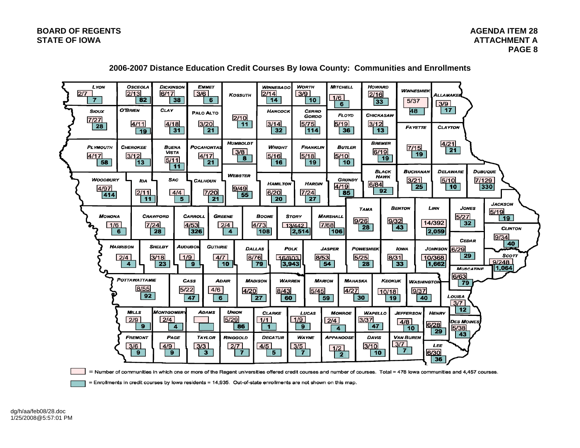

## **2006-2007 Distance Education Credit Courses By Iowa County: Communities and Enrollments**

= Number of communities in which one or more of the Regent universities offered credit courses and number of courses. Total = 478 lowa communities and 4,457 courses.

= Enrollments in credit courses by lowa residents = 14,935. Out-of-state enrollments are not shown on this map.

dg/h/aa/feb08/28.doc 1/25/2008@5:57:01 PM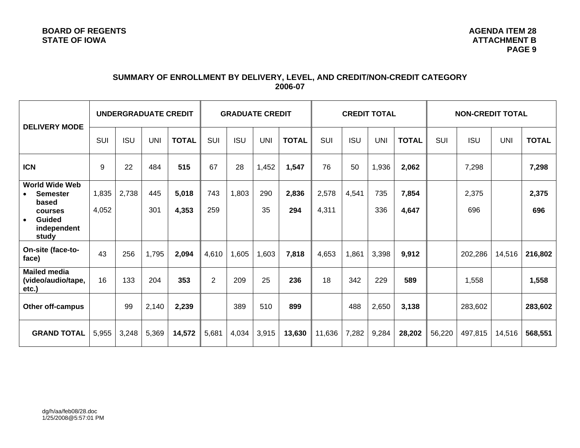# **SUMMARY OF ENROLLMENT BY DELIVERY, LEVEL, AND CREDIT/NON-CREDIT CATEGORY 2006-07**

| <b>DELIVERY MODE</b>                                                                                               | <b>UNDERGRADUATE CREDIT</b> |            |            | <b>GRADUATE CREDIT</b> |                | <b>CREDIT TOTAL</b> |            |              | <b>NON-CREDIT TOTAL</b> |            |            |                |        |              |            |              |
|--------------------------------------------------------------------------------------------------------------------|-----------------------------|------------|------------|------------------------|----------------|---------------------|------------|--------------|-------------------------|------------|------------|----------------|--------|--------------|------------|--------------|
|                                                                                                                    | SUI                         | <b>ISU</b> | <b>UNI</b> | <b>TOTAL</b>           | SUI            | <b>ISU</b>          | <b>UNI</b> | <b>TOTAL</b> | SUI                     | <b>ISU</b> | <b>UNI</b> | <b>TOTAL</b>   | SUI    | <b>ISU</b>   | <b>UNI</b> | <b>TOTAL</b> |
| <b>ICN</b>                                                                                                         | 9                           | 22         | 484        | 515                    | 67             | 28                  | 1,452      | 1,547        | 76                      | 50         | 1,936      | 2,062          |        | 7,298        |            | 7,298        |
| <b>World Wide Web</b><br><b>Semester</b><br>based<br>courses<br><b>Guided</b><br>$\bullet$<br>independent<br>study | 1,835<br>4,052              | 2,738      | 445<br>301 | 5,018<br>4,353         | 743<br>259     | 1,803               | 290<br>35  | 2,836<br>294 | 2,578<br>4,311          | 4,541      | 735<br>336 | 7,854<br>4,647 |        | 2,375<br>696 |            | 2,375<br>696 |
| On-site (face-to-<br>face)                                                                                         | 43                          | 256        | 1,795      | 2,094                  | 4,610          | 1,605               | 1,603      | 7,818        | 4,653                   | 1,861      | 3,398      | 9,912          |        | 202,286      | 14,516     | 216,802      |
| <b>Mailed media</b><br>(video/audio/tape,<br>etc.)                                                                 | 16                          | 133        | 204        | 353                    | $\overline{2}$ | 209                 | 25         | 236          | 18                      | 342        | 229        | 589            |        | 1,558        |            | 1,558        |
| <b>Other off-campus</b>                                                                                            |                             | 99         | 2,140      | 2,239                  |                | 389                 | 510        | 899          |                         | 488        | 2,650      | 3,138          |        | 283,602      |            | 283,602      |
| <b>GRAND TOTAL</b>                                                                                                 | 5,955                       | 3,248      | 5,369      | 14,572                 | 5,681          | 4,034               | 3,915      | 13,630       | 11,636                  | 7,282      | 9,284      | 28,202         | 56,220 | 497,815      | 14,516     | 568,551      |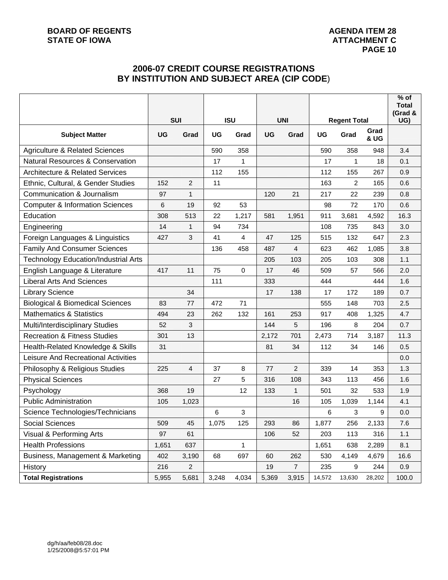# **2006-07 CREDIT COURSE REGISTRATIONS BY INSTITUTION AND SUBJECT AREA (CIP CODE**)

|                                             |       |            |       |              |            |                |                     |                |              | $\overline{\%}$ of<br><b>Total</b><br>(Grad & |
|---------------------------------------------|-------|------------|-------|--------------|------------|----------------|---------------------|----------------|--------------|-----------------------------------------------|
|                                             |       | <b>SUI</b> |       | <b>ISU</b>   | <b>UNI</b> |                | <b>Regent Total</b> |                |              | UG)                                           |
| <b>Subject Matter</b>                       | UG    | Grad       | UG    | Grad         | UG         | Grad           | <b>UG</b>           | Grad           | Grad<br>& UG |                                               |
| <b>Agriculture &amp; Related Sciences</b>   |       |            | 590   | 358          |            |                | 590                 | 358            | 948          | 3.4                                           |
| <b>Natural Resources &amp; Conservation</b> |       |            | 17    | $\mathbf{1}$ |            |                | 17                  | 1              | 18           | 0.1                                           |
| <b>Architecture &amp; Related Services</b>  |       |            | 112   | 155          |            |                | 112                 | 155            | 267          | 0.9                                           |
| Ethnic, Cultural, & Gender Studies          | 152   | 2          | 11    |              |            |                | 163                 | $\overline{c}$ | 165          | 0.6                                           |
| Communication & Journalism                  | 97    | 1          |       |              | 120        | 21             | 217                 | 22             | 239          | 0.8                                           |
| <b>Computer &amp; Information Sciences</b>  | 6     | 19         | 92    | 53           |            |                | 98                  | 72             | 170          | 0.6                                           |
| Education                                   | 308   | 513        | 22    | 1,217        | 581        | 1,951          | 911                 | 3,681          | 4,592        | 16.3                                          |
| Engineering                                 | 14    | 1          | 94    | 734          |            |                | 108                 | 735            | 843          | 3.0                                           |
| Foreign Languages & Linguistics             | 427   | 3          | 41    | 4            | 47         | 125            | 515                 | 132            | 647          | 2.3                                           |
| <b>Family And Consumer Sciences</b>         |       |            | 136   | 458          | 487        | 4              | 623                 | 462            | 1,085        | 3.8                                           |
| <b>Technology Education/Industrial Arts</b> |       |            |       |              | 205        | 103            | 205                 | 103            | 308          | 1.1                                           |
| English Language & Literature               | 417   | 11         | 75    | 0            | 17         | 46             | 509                 | 57             | 566          | 2.0                                           |
| <b>Liberal Arts And Sciences</b>            |       |            | 111   |              | 333        |                | 444                 |                | 444          | 1.6                                           |
| <b>Library Science</b>                      |       | 34         |       |              | 17         | 138            | 17                  | 172            | 189          | 0.7                                           |
| <b>Biological &amp; Biomedical Sciences</b> | 83    | 77         | 472   | 71           |            |                | 555                 | 148            | 703          | 2.5                                           |
| <b>Mathematics &amp; Statistics</b>         | 494   | 23         | 262   | 132          | 161        | 253            | 917                 | 408            | 1,325        | 4.7                                           |
| Multi/Interdisciplinary Studies             | 52    | 3          |       |              | 144        | 5              | 196                 | 8              | 204          | 0.7                                           |
| <b>Recreation &amp; Fitness Studies</b>     | 301   | 13         |       |              | 2,172      | 701            | 2,473               | 714            | 3,187        | 11.3                                          |
| Health-Related Knowledge & Skills           | 31    |            |       |              | 81         | 34             | 112                 | 34             | 146          | 0.5                                           |
| Leisure And Recreational Activities         |       |            |       |              |            |                |                     |                |              | 0.0                                           |
| Philosophy & Religious Studies              | 225   | 4          | 37    | 8            | 77         | $\overline{c}$ | 339                 | 14             | 353          | 1.3                                           |
| <b>Physical Sciences</b>                    |       |            | 27    | 5            | 316        | 108            | 343                 | 113            | 456          | 1.6                                           |
| Psychology                                  | 368   | 19         |       | 12           | 133        | $\mathbf{1}$   | 501                 | 32             | 533          | 1.9                                           |
| <b>Public Administration</b>                | 105   | 1,023      |       |              |            | 16             | 105                 | 1,039          | 1,144        | 4.1                                           |
| Science Technologies/Technicians            |       |            | 6     | 3            |            |                | 6                   | 3              | 9            | 0.0                                           |
| Social Sciences                             | 509   | 45         | 1,075 | 125          | 293        | 86             | 1,877               | 256            | 2,133        | 7.6                                           |
| Visual & Performing Arts                    | 97    | 61         |       |              | 106        | 52             | 203                 | 113            | 316          | 1.1                                           |
| <b>Health Professions</b>                   | 1,651 | 637        |       | $\mathbf{1}$ |            |                | 1,651               | 638            | 2,289        | 8.1                                           |
| Business, Management & Marketing            | 402   | 3,190      | 68    | 697          | 60         | 262            | 530                 | 4,149          | 4,679        | 16.6                                          |
| History                                     | 216   | $\sqrt{2}$ |       |              | 19         | $\overline{7}$ | 235                 | 9              | 244          | 0.9                                           |
| <b>Total Registrations</b>                  | 5,955 | 5,681      | 3,248 | 4,034        | 5,369      | 3,915          | 14,572              | 13,630         | 28,202       | 100.0                                         |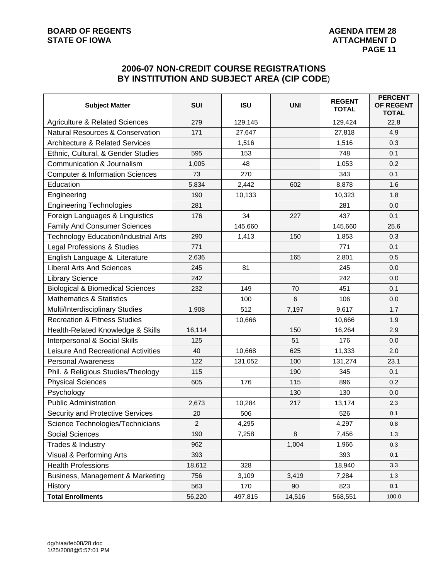# **BOARD OF REGENTS AGENDA ITEM 28**<br> **BOARD OF IOWA**<br> **BOARD OF IOWA**

# **2006-07 NON-CREDIT COURSE REGISTRATIONS BY INSTITUTION AND SUBJECT AREA (CIP CODE**)

| <b>Subject Matter</b>                       | <b>SUI</b>     | <b>ISU</b> | <b>UNI</b> | <b>REGENT</b><br><b>TOTAL</b> | <b>PERCENT</b><br>OF REGENT<br><b>TOTAL</b> |
|---------------------------------------------|----------------|------------|------------|-------------------------------|---------------------------------------------|
| <b>Agriculture &amp; Related Sciences</b>   | 279            | 129,145    |            | 129,424                       | 22.8                                        |
| <b>Natural Resources &amp; Conservation</b> | 171            | 27,647     |            | 27,818                        | 4.9                                         |
| <b>Architecture &amp; Related Services</b>  |                | 1,516      |            | 1,516                         | 0.3                                         |
| Ethnic, Cultural, & Gender Studies          | 595            | 153        |            | 748                           | 0.1                                         |
| Communication & Journalism                  | 1,005          | 48         |            | 1,053                         | 0.2                                         |
| <b>Computer &amp; Information Sciences</b>  | 73             | 270        |            | 343                           | 0.1                                         |
| Education                                   | 5,834          | 2,442      | 602        | 8,878                         | 1.6                                         |
| Engineering                                 | 190            | 10,133     |            | 10,323                        | 1.8                                         |
| <b>Engineering Technologies</b>             | 281            |            |            | 281                           | 0.0                                         |
| Foreign Languages & Linguistics             | 176            | 34         | 227        | 437                           | 0.1                                         |
| <b>Family And Consumer Sciences</b>         |                | 145,660    |            | 145,660                       | 25.6                                        |
| <b>Technology Education/Industrial Arts</b> | 290            | 1,413      | 150        | 1,853                         | 0.3                                         |
| Legal Professions & Studies                 | 771            |            |            | 771                           | 0.1                                         |
| English Language & Literature               | 2,636          |            | 165        | 2,801                         | 0.5                                         |
| <b>Liberal Arts And Sciences</b>            | 245            | 81         |            | 245                           | 0.0                                         |
| <b>Library Science</b>                      | 242            |            |            | 242                           | 0.0                                         |
| <b>Biological &amp; Biomedical Sciences</b> | 232            | 149        | 70         | 451                           | 0.1                                         |
| <b>Mathematics &amp; Statistics</b>         |                | 100        | 6          | 106                           | 0.0                                         |
| Multi/Interdisciplinary Studies             | 1,908          | 512        | 7,197      | 9,617                         | 1.7                                         |
| <b>Recreation &amp; Fitness Studies</b>     |                | 10,666     |            | 10,666                        | 1.9                                         |
| Health-Related Knowledge & Skills           | 16,114         |            | 150        | 16,264                        | 2.9                                         |
| Interpersonal & Social Skills               | 125            |            | 51         | 176                           | 0.0                                         |
| Leisure And Recreational Activities         | 40             | 10,668     | 625        | 11,333                        | 2.0                                         |
| <b>Personal Awareness</b>                   | 122            | 131,052    | 100        | 131,274                       | 23.1                                        |
| Phil. & Religious Studies/Theology          | 115            |            | 190        | 345                           | 0.1                                         |
| <b>Physical Sciences</b>                    | 605            | 176        | 115        | 896                           | 0.2                                         |
| Psychology                                  |                |            | 130        | 130                           | 0.0                                         |
| <b>Public Administration</b>                | 2,673          | 10,284     | 217        | 13,174                        | 2.3                                         |
| Security and Protective Services            | 20             | 506        |            | 526                           | 0.1                                         |
| Science Technologies/Technicians            | $\overline{2}$ | 4,295      |            | 4,297                         | $0.8\,$                                     |
| Social Sciences                             | 190            | 7,258      | 8          | 7,456                         | 1.3                                         |
| Trades & Industry                           | 962            |            | 1,004      | 1,966                         | 0.3                                         |
| Visual & Performing Arts                    | 393            |            |            | 393                           | 0.1                                         |
| <b>Health Professions</b>                   | 18,612         | 328        |            | 18,940                        | 3.3                                         |
| Business, Management & Marketing            | 756            | 3,109      | 3,419      | 7,284                         | 1.3                                         |
| History                                     | 563            | 170        | 90         | 823                           | 0.1                                         |
| <b>Total Enrollments</b>                    | 56,220         | 497,815    | 14,516     | 568,551                       | 100.0                                       |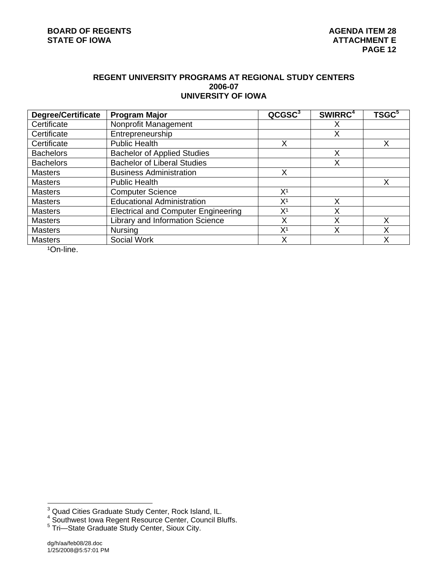# **REGENT UNIVERSITY PROGRAMS AT REGIONAL STUDY CENTERS 2006-07 UNIVERSITY OF IOWA**

| <b>Degree/Certificate</b> | <b>Program Major</b>                       | QCGSC <sup>3</sup> | SWIRRC <sup>4</sup> | TSGC <sup>5</sup> |
|---------------------------|--------------------------------------------|--------------------|---------------------|-------------------|
| Certificate               | Nonprofit Management                       |                    | х                   |                   |
| Certificate               | Entrepreneurship                           |                    | Χ                   |                   |
| Certificate               | <b>Public Health</b>                       | Х                  |                     | Х                 |
| <b>Bachelors</b>          | <b>Bachelor of Applied Studies</b>         |                    | Χ                   |                   |
| <b>Bachelors</b>          | <b>Bachelor of Liberal Studies</b>         |                    | Χ                   |                   |
| <b>Masters</b>            | <b>Business Administration</b>             | Х                  |                     |                   |
| <b>Masters</b>            | <b>Public Health</b>                       |                    |                     | Χ                 |
| <b>Masters</b>            | <b>Computer Science</b>                    | X <sup>1</sup>     |                     |                   |
| <b>Masters</b>            | <b>Educational Administration</b>          | X <sup>1</sup>     | Х                   |                   |
| <b>Masters</b>            | <b>Electrical and Computer Engineering</b> | X <sup>1</sup>     | х                   |                   |
| <b>Masters</b>            | <b>Library and Information Science</b>     | Χ                  | Χ                   | Х                 |
| <b>Masters</b>            | <b>Nursing</b>                             | X <sup>1</sup>     | Χ                   | Х                 |
| <b>Masters</b>            | Social Work                                | Χ                  |                     | Χ                 |

1On-line.

<sup>&</sup>lt;sup>3</sup> Quad Cities Graduate Study Center, Rock Island, IL.<br><sup>4</sup> Southwest Iowa Regent Resource Center, Council Bluffs.<br><sup>5</sup> Tri—State Graduate Study Center, Sioux City.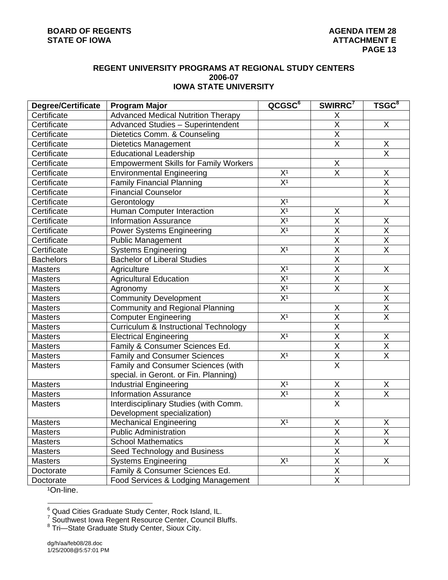## **REGENT UNIVERSITY PROGRAMS AT REGIONAL STUDY CENTERS 2006-07 IOWA STATE UNIVERSITY**

| <b>Degree/Certificate</b> | <b>Program Major</b>                             | QCGSC <sup>6</sup>          | SWIRRC <sup>7</sup>                 | TSGC <sup>8</sup>       |
|---------------------------|--------------------------------------------------|-----------------------------|-------------------------------------|-------------------------|
| Certificate               | <b>Advanced Medical Nutrition Therapy</b>        |                             | X                                   |                         |
| Certificate               | <b>Advanced Studies - Superintendent</b>         |                             | $\overline{\mathsf{x}}$             | X                       |
| Certificate               | Dietetics Comm. & Counseling                     |                             | $\sf X$                             |                         |
| Certificate               | <b>Dietetics Management</b>                      |                             | $\overline{\mathsf{X}}$             | X                       |
| Certificate               | <b>Educational Leadership</b>                    |                             |                                     | $\overline{\mathsf{X}}$ |
| Certificate               | <b>Empowerment Skills for Family Workers</b>     |                             | Χ                                   |                         |
| Certificate               | <b>Environmental Engineering</b>                 | $\frac{X^1}{X^1}$           | $\overline{\mathsf{x}}$             | Χ                       |
| Certificate               | <b>Family Financial Planning</b>                 |                             |                                     | $\overline{\mathsf{x}}$ |
| Certificate               | <b>Financial Counselor</b>                       |                             |                                     | $\overline{X}$          |
| Certificate               | Gerontology                                      | X <sup>1</sup>              |                                     | $\overline{\mathsf{X}}$ |
| Certificate               | Human Computer Interaction                       | $\overline{X}$ <sup>1</sup> | X                                   |                         |
| Certificate               | <b>Information Assurance</b>                     | $\overline{\mathsf{X}^1}$   | $\overline{\mathsf{x}}$             | X                       |
| Certificate               | <b>Power Systems Engineering</b>                 | $\overline{X^1}$            | $\sf X$                             | $\overline{X}$          |
| Certificate               | <b>Public Management</b>                         |                             | $\overline{X}$                      | $\overline{\mathsf{x}}$ |
| Certificate               | <b>Systems Engineering</b>                       | X <sup>1</sup>              | $\overline{X}$                      | $\overline{\mathsf{X}}$ |
| <b>Bachelors</b>          | <b>Bachelor of Liberal Studies</b>               |                             | $\overline{\mathsf{x}}$             |                         |
| <b>Masters</b>            | Agriculture                                      | X <sup>1</sup>              | $\overline{\mathsf{x}}$             | X                       |
| <b>Masters</b>            | <b>Agricultural Education</b>                    | $\overline{X^1}$            | $\overline{\mathsf{X}}$             |                         |
| <b>Masters</b>            | Agronomy                                         | $\overline{X^1}$            | $\overline{\mathsf{X}}$             | X                       |
| <b>Masters</b>            | Community Development                            | X <sup>1</sup>              |                                     | $\overline{X}$          |
| <b>Masters</b>            | <b>Community and Regional Planning</b>           |                             | $\mathsf X$                         | $\overline{\mathsf{X}}$ |
| <b>Masters</b>            | <b>Computer Engineering</b>                      | X <sup>1</sup>              | $\overline{X}$                      | $\overline{\mathsf{X}}$ |
| Masters                   | <b>Curriculum &amp; Instructional Technology</b> |                             | $\overline{\mathsf{X}}$             |                         |
| <b>Masters</b>            | <b>Electrical Engineering</b>                    | X <sup>1</sup>              | $\overline{X}$                      | X                       |
| Masters                   | Family & Consumer Sciences Ed.                   |                             | $\overline{\mathsf{x}}$             | $\overline{\mathsf{X}}$ |
| Masters                   | <b>Family and Consumer Sciences</b>              | X <sup>1</sup>              | $\frac{\overline{X}}{\overline{X}}$ | $\overline{\mathsf{X}}$ |
| <b>Masters</b>            | Family and Consumer Sciences (with               |                             |                                     |                         |
|                           | special. in Geront. or Fin. Planning)            |                             |                                     |                         |
| <b>Masters</b>            | <b>Industrial Engineering</b>                    | X <sup>1</sup>              | Χ                                   | X                       |
| <b>Masters</b>            | <b>Information Assurance</b>                     | $\overline{X^1}$            | $\overline{X}$                      | $\overline{\mathsf{X}}$ |
| <b>Masters</b>            | Interdisciplinary Studies (with Comm.            |                             | $\overline{\mathsf{x}}$             |                         |
|                           | Development specialization)                      |                             |                                     |                         |
| <b>Masters</b>            | <b>Mechanical Engineering</b>                    | X <sup>1</sup>              | $\mathsf X$                         | Χ                       |
| Masters                   | <b>Public Administration</b>                     |                             | X                                   | X                       |
| <b>Masters</b>            | <b>School Mathematics</b>                        |                             | $\overline{\mathsf{x}}$             | $\overline{\mathsf{x}}$ |
| <b>Masters</b>            | Seed Technology and Business                     |                             | $\overline{X}$                      |                         |
| <b>Masters</b>            | <b>Systems Engineering</b>                       | X <sup>1</sup>              | $\overline{X}$                      | X                       |
| Doctorate                 | Family & Consumer Sciences Ed.                   |                             | $\mathsf X$                         |                         |
| Doctorate                 | Food Services & Lodging Management               |                             | X                                   |                         |

1On-line.

<sup>&</sup>lt;sup>6</sup><br><sup>6</sup> Quad Cities Graduate Study Center, Rock Island, IL.<br><sup>7</sup> Southwest Iowa Regent Resource Center, Council Bluffs.<br><sup>8</sup> Tri—State Graduate Study Center, Sioux City.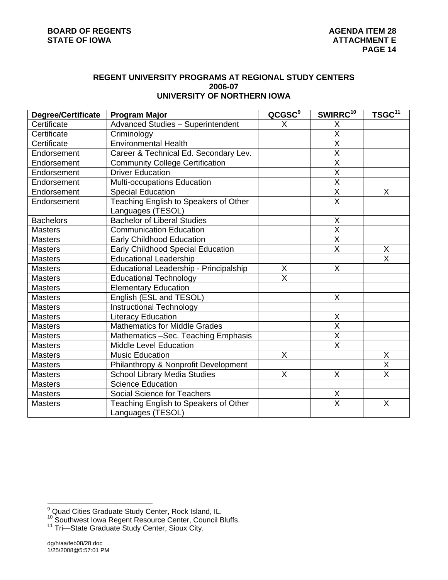## **REGENT UNIVERSITY PROGRAMS AT REGIONAL STUDY CENTERS 2006-07 UNIVERSITY OF NORTHERN IOWA**

| <b>Degree/Certificate</b> | <b>Program Major</b>                                       | QCGSC <sup>9</sup>      | SWIRRC <sup>10</sup>    | TSGC <sup>11</sup>      |
|---------------------------|------------------------------------------------------------|-------------------------|-------------------------|-------------------------|
| Certificate               | <b>Advanced Studies - Superintendent</b>                   | X.                      | X                       |                         |
| Certificate               | Criminology                                                |                         | $\overline{\mathsf{X}}$ |                         |
| Certificate               | <b>Environmental Health</b>                                |                         | $\overline{\mathsf{x}}$ |                         |
| Endorsement               | Career & Technical Ed. Secondary Lev.                      |                         | $\overline{\mathsf{X}}$ |                         |
| Endorsement               | <b>Community College Certification</b>                     |                         | $\overline{\mathsf{X}}$ |                         |
| Endorsement               | <b>Driver Education</b>                                    |                         | $\overline{\mathsf{x}}$ |                         |
| Endorsement               | Multi-occupations Education                                |                         | $\overline{\mathsf{X}}$ |                         |
| Endorsement               | <b>Special Education</b>                                   |                         | X                       | X                       |
| Endorsement               | Teaching English to Speakers of Other<br>Languages (TESOL) |                         | $\overline{\mathsf{x}}$ |                         |
| <b>Bachelors</b>          | <b>Bachelor of Liberal Studies</b>                         |                         | X                       |                         |
| <b>Masters</b>            | <b>Communication Education</b>                             |                         | X                       |                         |
| <b>Masters</b>            | <b>Early Childhood Education</b>                           |                         | $\overline{\mathsf{x}}$ |                         |
| <b>Masters</b>            | <b>Early Childhood Special Education</b>                   |                         | X                       | X                       |
| <b>Masters</b>            | <b>Educational Leadership</b>                              |                         |                         | $\overline{\mathsf{x}}$ |
| <b>Masters</b>            | Educational Leadership - Principalship                     | X                       | X                       |                         |
| <b>Masters</b>            | <b>Educational Technology</b>                              | $\overline{\mathsf{x}}$ |                         |                         |
| <b>Masters</b>            | <b>Elementary Education</b>                                |                         |                         |                         |
| <b>Masters</b>            | English (ESL and TESOL)                                    |                         | X                       |                         |
| <b>Masters</b>            | <b>Instructional Technology</b>                            |                         |                         |                         |
| <b>Masters</b>            | <b>Literacy Education</b>                                  |                         | Χ                       |                         |
| <b>Masters</b>            | <b>Mathematics for Middle Grades</b>                       |                         | $\overline{\mathsf{x}}$ |                         |
| <b>Masters</b>            | Mathematics -Sec. Teaching Emphasis                        |                         | $\overline{\mathsf{x}}$ |                         |
| <b>Masters</b>            | <b>Middle Level Education</b>                              |                         | $\overline{\mathsf{x}}$ |                         |
| <b>Masters</b>            | <b>Music Education</b>                                     | X                       |                         | X                       |
| <b>Masters</b>            | Philanthropy & Nonprofit Development                       |                         |                         | $\overline{\mathsf{x}}$ |
| <b>Masters</b>            | <b>School Library Media Studies</b>                        | X                       | X                       | $\overline{\mathsf{x}}$ |
| <b>Masters</b>            | Science Education                                          |                         |                         |                         |
| <b>Masters</b>            | Social Science for Teachers                                |                         | X                       |                         |
| <b>Masters</b>            | Teaching English to Speakers of Other<br>Languages (TESOL) |                         | $\overline{\mathsf{x}}$ | X                       |

 9 Quad Cities Graduate Study Center, Rock Island, IL.

<sup>&</sup>lt;sup>10</sup> Southwest Iowa Regent Resource Center, Council Bluffs.<br><sup>11</sup> Tri—State Graduate Study Center, Sioux City.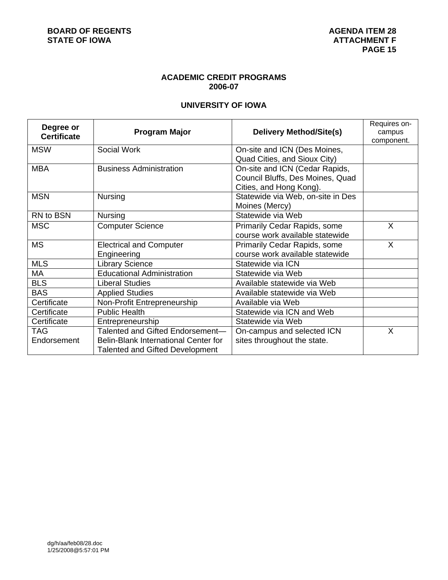# **ACADEMIC CREDIT PROGRAMS 2006-07**

# **UNIVERSITY OF IOWA**

| Degree or<br><b>Certificate</b> | <b>Program Major</b>                                                                                        | <b>Delivery Method/Site(s)</b>                                                                | Requires on-<br>campus |
|---------------------------------|-------------------------------------------------------------------------------------------------------------|-----------------------------------------------------------------------------------------------|------------------------|
| <b>MSW</b>                      | Social Work                                                                                                 | On-site and ICN (Des Moines,<br>Quad Cities, and Sioux City)                                  | component.             |
| <b>MBA</b>                      | <b>Business Administration</b>                                                                              | On-site and ICN (Cedar Rapids,<br>Council Bluffs, Des Moines, Quad<br>Cities, and Hong Kong). |                        |
| <b>MSN</b>                      | Nursing                                                                                                     | Statewide via Web, on-site in Des<br>Moines (Mercy)                                           |                        |
| RN to BSN                       | Nursing                                                                                                     | Statewide via Web                                                                             |                        |
| <b>MSC</b>                      | <b>Computer Science</b>                                                                                     | Primarily Cedar Rapids, some<br>course work available statewide                               | X                      |
| <b>MS</b>                       | <b>Electrical and Computer</b><br>Engineering                                                               | <b>Primarily Cedar Rapids, some</b><br>course work available statewide                        | X                      |
| <b>MLS</b>                      | <b>Library Science</b>                                                                                      | Statewide via ICN                                                                             |                        |
| МA                              | <b>Educational Administration</b>                                                                           | Statewide via Web                                                                             |                        |
| <b>BLS</b>                      | <b>Liberal Studies</b>                                                                                      | Available statewide via Web                                                                   |                        |
| <b>BAS</b>                      | <b>Applied Studies</b>                                                                                      | Available statewide via Web                                                                   |                        |
| Certificate                     | Non-Profit Entrepreneurship                                                                                 | Available via Web                                                                             |                        |
| Certificate                     | <b>Public Health</b>                                                                                        | Statewide via ICN and Web                                                                     |                        |
| Certificate                     | Entrepreneurship                                                                                            | Statewide via Web                                                                             |                        |
| TAG<br>Endorsement              | Talented and Gifted Endorsement-<br>Belin-Blank International Center for<br>Talented and Gifted Development | On-campus and selected ICN<br>sites throughout the state.                                     | X                      |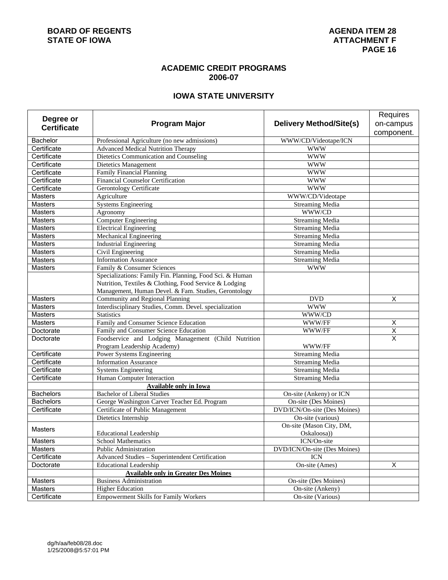# **ACADEMIC CREDIT PROGRAMS 2006-07**

# **IOWA STATE UNIVERSITY**

|                    |                                                                     |                                     | Requires                |
|--------------------|---------------------------------------------------------------------|-------------------------------------|-------------------------|
| Degree or          | <b>Program Major</b>                                                | <b>Delivery Method/Site(s)</b>      | on-campus               |
| <b>Certificate</b> |                                                                     |                                     | component.              |
| Bachelor           | Professional Agriculture (no new admissions)                        | WWW/CD/Videotape/ICN                |                         |
| Certificate        | <b>Advanced Medical Nutrition Therapy</b>                           | <b>WWW</b>                          |                         |
| Certificate        | Dietetics Communication and Counseling                              | <b>WWW</b>                          |                         |
| Certificate        | Dietetics Management                                                | <b>WWW</b>                          |                         |
| Certificate        | Family Financial Planning                                           | <b>WWW</b>                          |                         |
| Certificate        | <b>Financial Counselor Certification</b>                            | <b>WWW</b>                          |                         |
| Certificate        | <b>Gerontology Certificate</b>                                      | <b>WWW</b>                          |                         |
| <b>Masters</b>     | Agriculture                                                         | WWW/CD/Videotape                    |                         |
| <b>Masters</b>     | <b>Systems Engineering</b>                                          | <b>Streaming Media</b>              |                         |
| <b>Masters</b>     | Agronomy                                                            | WWW/CD                              |                         |
| <b>Masters</b>     | <b>Computer Engineering</b>                                         | <b>Streaming Media</b>              |                         |
| <b>Masters</b>     | <b>Electrical Engineering</b>                                       | <b>Streaming Media</b>              |                         |
| Masters            | <b>Mechanical Engineering</b>                                       | <b>Streaming Media</b>              |                         |
| Masters            | <b>Industrial Engineering</b>                                       | <b>Streaming Media</b>              |                         |
| <b>Masters</b>     | Civil Engineering                                                   | <b>Streaming Media</b>              |                         |
| <b>Masters</b>     | <b>Information Assurance</b>                                        | Streaming Media                     |                         |
| <b>Masters</b>     | Family & Consumer Sciences                                          | <b>WWW</b>                          |                         |
|                    | Specializations: Family Fin. Planning, Food Sci. & Human            |                                     |                         |
|                    | Nutrition, Textiles & Clothing, Food Service & Lodging              |                                     |                         |
|                    | Management, Human Devel. & Fam. Studies, Gerontology                |                                     |                         |
| <b>Masters</b>     | Community and Regional Planning                                     | <b>DVD</b>                          | Χ                       |
| <b>Masters</b>     | Interdisciplinary Studies, Comm. Devel. specialization              | <b>WWW</b>                          |                         |
| Masters            | <b>Statistics</b>                                                   | WWW/CD                              |                         |
| <b>Masters</b>     | Family and Consumer Science Education                               | WWW/FF                              | $\mathsf X$             |
| Doctorate          | Family and Consumer Science Education                               | WWW/FF                              | $\overline{\mathsf{x}}$ |
| Doctorate          | Foodservice and Lodging Management (Child Nutrition                 |                                     | $\overline{\mathsf{x}}$ |
|                    | Program Leadership Academy)                                         | WWW/FF                              |                         |
| Certificate        | Power Systems Engineering                                           | <b>Streaming Media</b>              |                         |
| Certificate        | <b>Information Assurance</b>                                        | <b>Streaming Media</b>              |                         |
| Certificate        | <b>Systems Engineering</b>                                          | <b>Streaming Media</b>              |                         |
| Certificate        | Human Computer Interaction                                          | <b>Streaming Media</b>              |                         |
| <b>Bachelors</b>   | <b>Available only in Iowa</b><br><b>Bachelor of Liberal Studies</b> | On-site (Ankeny) or ICN             |                         |
| <b>Bachelors</b>   | George Washington Carver Teacher Ed. Program                        | On-site (Des Moines)                |                         |
| Certificate        | Certificate of Public Management                                    | <b>DVD/ICN/On-site (Des Moines)</b> |                         |
|                    | Dietetics Internship                                                | On-site (various)                   |                         |
|                    |                                                                     | On-site (Mason City, DM,            |                         |
| <b>Masters</b>     | <b>Educational Leadership</b>                                       | Oskaloosa)                          |                         |
| <b>Masters</b>     | <b>School Mathematics</b>                                           | ICN/On-site                         |                         |
| Masters            | Public Administration                                               | DVD/ICN/On-site (Des Moines)        |                         |
| Certificate        | Advanced Studies - Superintendent Certification                     | <b>ICN</b>                          |                         |
| Doctorate          | <b>Educational Leadership</b>                                       | On-site (Ames)                      | $\overline{X}$          |
|                    | <b>Available only in Greater Des Moines</b>                         |                                     |                         |
| Masters            | <b>Business Administration</b>                                      | On-site (Des Moines)                |                         |
| Masters            | <b>Higher Education</b>                                             | On-site (Ankeny)                    |                         |
| Certificate        | <b>Empowerment Skills for Family Workers</b>                        | On-site (Various)                   |                         |
|                    |                                                                     |                                     |                         |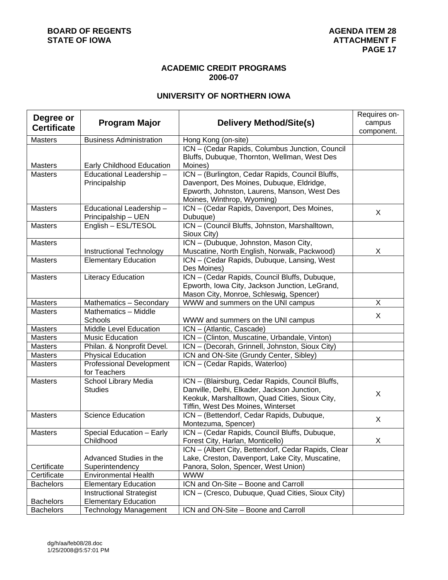# **ACADEMIC CREDIT PROGRAMS 2006-07**

# **UNIVERSITY OF NORTHERN IOWA**

| Degree or          |                                 |                                                     | Requires on- |
|--------------------|---------------------------------|-----------------------------------------------------|--------------|
| <b>Certificate</b> | <b>Program Major</b>            | <b>Delivery Method/Site(s)</b>                      | campus       |
|                    |                                 |                                                     | component.   |
| <b>Masters</b>     | <b>Business Administration</b>  | Hong Kong (on-site)                                 |              |
|                    |                                 | ICN - (Cedar Rapids, Columbus Junction, Council     |              |
|                    |                                 | Bluffs, Dubuque, Thornton, Wellman, West Des        |              |
| <b>Masters</b>     | Early Childhood Education       | Moines)                                             |              |
| <b>Masters</b>     | Educational Leadership-         | ICN - (Burlington, Cedar Rapids, Council Bluffs,    |              |
|                    | Principalship                   | Davenport, Des Moines, Dubuque, Eldridge,           |              |
|                    |                                 | Epworth, Johnston, Laurens, Manson, West Des        |              |
|                    |                                 | Moines, Winthrop, Wyoming)                          |              |
| <b>Masters</b>     | Educational Leadership -        | ICN - (Cedar Rapids, Davenport, Des Moines,         | X            |
|                    | Principalship - UEN             | Dubuque)                                            |              |
| <b>Masters</b>     | English - ESL/TESOL             | ICN - (Council Bluffs, Johnston, Marshalltown,      |              |
|                    |                                 | Sioux City)                                         |              |
| <b>Masters</b>     |                                 | ICN - (Dubuque, Johnston, Mason City,               |              |
|                    | Instructional Technology        | Muscatine, North English, Norwalk, Packwood)        | X            |
| <b>Masters</b>     | <b>Elementary Education</b>     | ICN - (Cedar Rapids, Dubuque, Lansing, West         |              |
|                    |                                 | Des Moines)                                         |              |
| <b>Masters</b>     | Literacy Education              | ICN - (Cedar Rapids, Council Bluffs, Dubuque,       |              |
|                    |                                 | Epworth, Iowa City, Jackson Junction, LeGrand,      |              |
|                    |                                 | Mason City, Monroe, Schleswig, Spencer)             |              |
| <b>Masters</b>     | Mathematics - Secondary         | WWW and summers on the UNI campus                   | X            |
| <b>Masters</b>     | Mathematics - Middle            |                                                     | X            |
|                    | Schools                         | WWW and summers on the UNI campus                   |              |
| <b>Masters</b>     | Middle Level Education          | ICN - (Atlantic, Cascade)                           |              |
| <b>Masters</b>     | <b>Music Education</b>          | ICN - (Clinton, Muscatine, Urbandale, Vinton)       |              |
| Masters            | Philan. & Nonprofit Devel.      | ICN - (Decorah, Grinnell, Johnston, Sioux City)     |              |
| <b>Masters</b>     | <b>Physical Education</b>       | ICN and ON-Site (Grundy Center, Sibley)             |              |
| <b>Masters</b>     | Professional Development        | ICN - (Cedar Rapids, Waterloo)                      |              |
|                    | for Teachers                    |                                                     |              |
| <b>Masters</b>     | School Library Media            | ICN - (Blairsburg, Cedar Rapids, Council Bluffs,    |              |
|                    | <b>Studies</b>                  | Danville, Delhi, Elkader, Jackson Junction,         | X            |
|                    |                                 | Keokuk, Marshalltown, Quad Cities, Sioux City,      |              |
|                    |                                 | Tiffin, West Des Moines, Winterset                  |              |
| <b>Masters</b>     | <b>Science Education</b>        | ICN - (Bettendorf, Cedar Rapids, Dubuque,           | X            |
|                    |                                 | Montezuma, Spencer)                                 |              |
| <b>Masters</b>     | Special Education - Early       | ICN - (Cedar Rapids, Council Bluffs, Dubuque,       |              |
|                    | Childhood                       | Forest City, Harlan, Monticello)                    | X            |
|                    |                                 | ICN - (Albert City, Bettendorf, Cedar Rapids, Clear |              |
|                    | Advanced Studies in the         | Lake, Creston, Davenport, Lake City, Muscatine,     |              |
| Certificate        | Superintendency                 | Panora, Solon, Spencer, West Union)                 |              |
| Certificate        | <b>Environmental Health</b>     | <b>WWW</b>                                          |              |
| <b>Bachelors</b>   | <b>Elementary Education</b>     | ICN and On-Site - Boone and Carroll                 |              |
|                    | <b>Instructional Strategist</b> | ICN - (Cresco, Dubuque, Quad Cities, Sioux City)    |              |
| <b>Bachelors</b>   | <b>Elementary Education</b>     |                                                     |              |
| <b>Bachelors</b>   | <b>Technology Management</b>    | ICN and ON-Site - Boone and Carroll                 |              |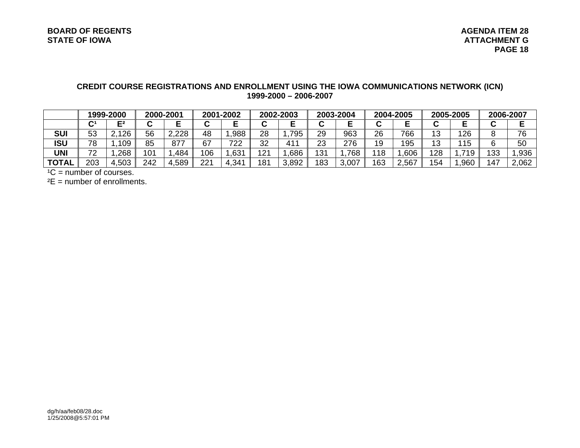# **CREDIT COURSE REGISTRATIONS AND ENROLLMENT USING THE IOWA COMMUNICATIONS NETWORK (ICN) 1999-2000 – 2006-2007**

|              | 1999-2000      |                 | 2000-2001 |       | 2001-2002            |      | 2002-2003 |                 | 2003-2004 |       | 2004-2005 |       | 2005-2005 |      | 2006-2007 |       |
|--------------|----------------|-----------------|-----------|-------|----------------------|------|-----------|-----------------|-----------|-------|-----------|-------|-----------|------|-----------|-------|
|              | $\mathbf{C}^1$ | E2              |           |       | $\ddot{\phantom{1}}$ |      |           |                 | ີ         |       | ⌒         |       |           |      | ັ         |       |
| <b>SUI</b>   | 53             | 126<br><u>.</u> | 56        | 2,228 | 48                   | .988 | 28        | 795             | 29        | 963   | 26        | 766   | 13        | 126  | 8         | 76    |
| ISU          | 78             | 109             | 85        | 877   | 67                   | 722  | 32        | 41 <sup>2</sup> | 23        | 276   | 19        | 195   | 13        | 115  | ⌒         | 50    |
| UNI          | 70             | ,268            | 101       | 484   | 106                  | ,631 | 121       | .686            | 131       | .768  | 118       | ,606  | 128       | 710  | 133       | ,936  |
| <b>TOTAL</b> | 203            | ,503            | 242       | 4,589 | 221                  | 341, | 181       | 3,892           | 183       | 3,007 | 163       | 2,567 | 154       | ,960 | 147       | 2,062 |

 $^1C$  = number of courses.

 $E =$  number of enrollments.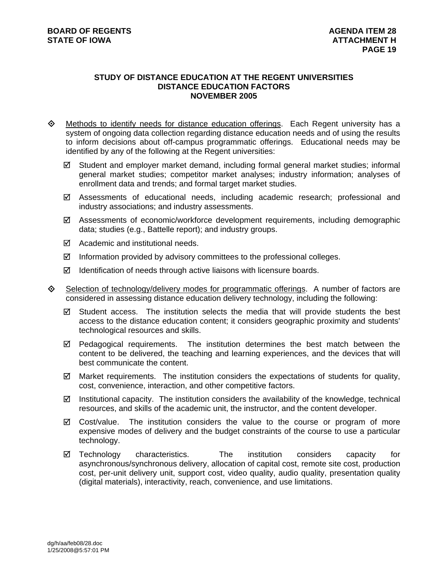### **STUDY OF DISTANCE EDUCATION AT THE REGENT UNIVERSITIES DISTANCE EDUCATION FACTORS NOVEMBER 2005**

- $\Leftrightarrow$  Methods to identify needs for distance education offerings. Each Regent university has a system of ongoing data collection regarding distance education needs and of using the results to inform decisions about off-campus programmatic offerings. Educational needs may be identified by any of the following at the Regent universities:
	- 5 Student and employer market demand, including formal general market studies; informal general market studies; competitor market analyses; industry information; analyses of enrollment data and trends; and formal target market studies.
	- 5 Assessments of educational needs, including academic research; professional and industry associations; and industry assessments.
	- $\boxtimes$  Assessments of economic/workforce development requirements, including demographic data; studies (e.g., Battelle report); and industry groups.
	- $\boxtimes$  Academic and institutional needs.
	- $\boxtimes$  Information provided by advisory committees to the professional colleges.
	- $\boxtimes$  Identification of needs through active liaisons with licensure boards.
- $\diamondsuit$  Selection of technology/delivery modes for programmatic offerings. A number of factors are considered in assessing distance education delivery technology, including the following:
	- $\boxtimes$  Student access. The institution selects the media that will provide students the best access to the distance education content; it considers geographic proximity and students' technological resources and skills.
	- $\boxtimes$  Pedagogical requirements. The institution determines the best match between the content to be delivered, the teaching and learning experiences, and the devices that will best communicate the content.
	- $\boxtimes$  Market requirements. The institution considers the expectations of students for quality, cost, convenience, interaction, and other competitive factors.
	- $\boxtimes$  Institutional capacity. The institution considers the availability of the knowledge, technical resources, and skills of the academic unit, the instructor, and the content developer.
	- $\boxtimes$  Cost/value. The institution considers the value to the course or program of more expensive modes of delivery and the budget constraints of the course to use a particular technology.
	- $\boxtimes$  Technology characteristics. The institution considers capacity for asynchronous/synchronous delivery, allocation of capital cost, remote site cost, production cost, per-unit delivery unit, support cost, video quality, audio quality, presentation quality (digital materials), interactivity, reach, convenience, and use limitations.